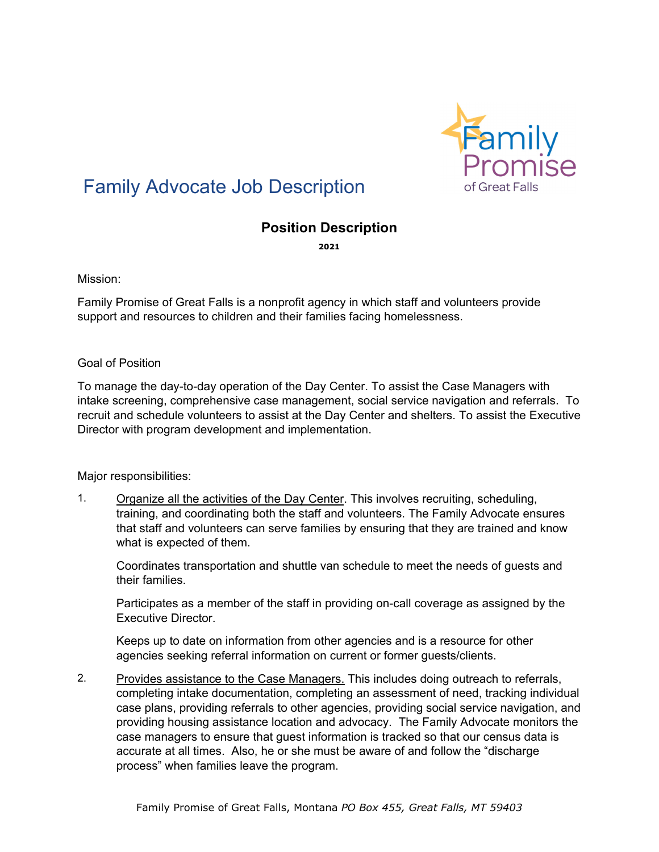

# Family Advocate Job Description

## **Position Description**

**2021**

Mission:

Family Promise of Great Falls is a nonprofit agency in which staff and volunteers provide support and resources to children and their families facing homelessness.

#### Goal of Position

To manage the day-to-day operation of the Day Center. To assist the Case Managers with intake screening, comprehensive case management, social service navigation and referrals. To recruit and schedule volunteers to assist at the Day Center and shelters. To assist the Executive Director with program development and implementation.

#### Major responsibilities:

1. Organize all the activities of the Day Center. This involves recruiting, scheduling, training, and coordinating both the staff and volunteers. The Family Advocate ensures that staff and volunteers can serve families by ensuring that they are trained and know what is expected of them.

Coordinates transportation and shuttle van schedule to meet the needs of guests and their families.

Participates as a member of the staff in providing on-call coverage as assigned by the Executive Director.

Keeps up to date on information from other agencies and is a resource for other agencies seeking referral information on current or former guests/clients.

2. Provides assistance to the Case Managers. This includes doing outreach to referrals, completing intake documentation, completing an assessment of need, tracking individual case plans, providing referrals to other agencies, providing social service navigation, and providing housing assistance location and advocacy. The Family Advocate monitors the case managers to ensure that guest information is tracked so that our census data is accurate at all times. Also, he or she must be aware of and follow the "discharge process" when families leave the program.